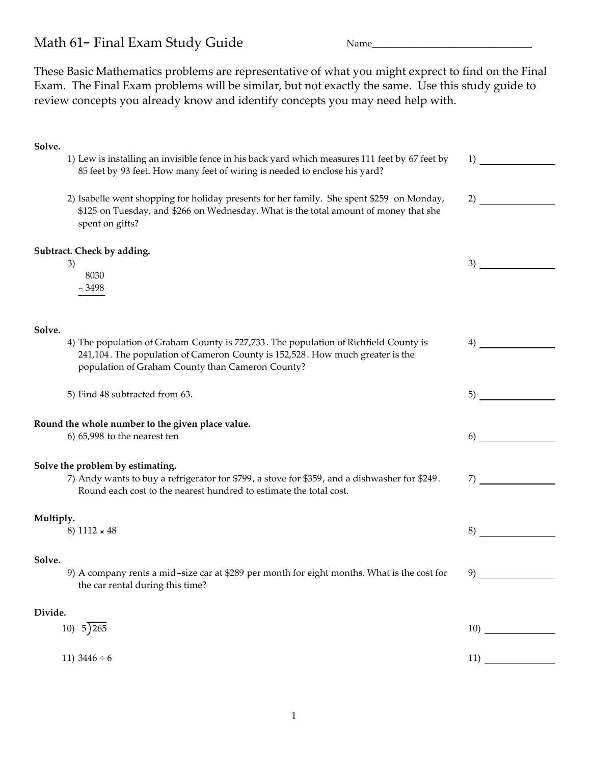## Math 61- Final Exam Study Guide Name

These Basic Mathematics problems are representative of what you might exprect to find on the Final Exam. The Final Exam problems will be similar, but not exactly the same. Use this study guide to review concepts you already know and identify concepts you may need help with.

|                                                                                           | 1)                                                                                                                                                                                                                                                                                                                                                                                                                                                                                                   |
|-------------------------------------------------------------------------------------------|------------------------------------------------------------------------------------------------------------------------------------------------------------------------------------------------------------------------------------------------------------------------------------------------------------------------------------------------------------------------------------------------------------------------------------------------------------------------------------------------------|
| 85 feet by 93 feet. How many feet of wiring is needed to enclose his yard?                |                                                                                                                                                                                                                                                                                                                                                                                                                                                                                                      |
| 2) Isabelle went shopping for holiday presents for her family. She spent \$259 on Monday, | 2)                                                                                                                                                                                                                                                                                                                                                                                                                                                                                                   |
| spent on gifts?                                                                           |                                                                                                                                                                                                                                                                                                                                                                                                                                                                                                      |
| Subtract. Check by adding.                                                                |                                                                                                                                                                                                                                                                                                                                                                                                                                                                                                      |
| 8030<br>$-3498$                                                                           | 3)                                                                                                                                                                                                                                                                                                                                                                                                                                                                                                   |
|                                                                                           |                                                                                                                                                                                                                                                                                                                                                                                                                                                                                                      |
| 4) The population of Graham County is 727,733. The population of Richfield County is      | 4)                                                                                                                                                                                                                                                                                                                                                                                                                                                                                                   |
| population of Graham County than Cameron County?                                          |                                                                                                                                                                                                                                                                                                                                                                                                                                                                                                      |
| 5) Find 48 subtracted from 63.                                                            | 5)                                                                                                                                                                                                                                                                                                                                                                                                                                                                                                   |
| Round the whole number to the given place value.                                          |                                                                                                                                                                                                                                                                                                                                                                                                                                                                                                      |
| $6$ ) $65,998$ to the nearest ten                                                         | 6)                                                                                                                                                                                                                                                                                                                                                                                                                                                                                                   |
| Solve the problem by estimating.                                                          |                                                                                                                                                                                                                                                                                                                                                                                                                                                                                                      |
| Round each cost to the nearest hundred to estimate the total cost.                        | 7)                                                                                                                                                                                                                                                                                                                                                                                                                                                                                                   |
| Multiply.                                                                                 |                                                                                                                                                                                                                                                                                                                                                                                                                                                                                                      |
|                                                                                           | 8)                                                                                                                                                                                                                                                                                                                                                                                                                                                                                                   |
|                                                                                           |                                                                                                                                                                                                                                                                                                                                                                                                                                                                                                      |
| the car rental during this time?                                                          | 9)                                                                                                                                                                                                                                                                                                                                                                                                                                                                                                   |
| Divide.                                                                                   |                                                                                                                                                                                                                                                                                                                                                                                                                                                                                                      |
| 10) $5\overline{)265}$                                                                    |                                                                                                                                                                                                                                                                                                                                                                                                                                                                                                      |
| 11) $3446 \div 6$                                                                         | 11)                                                                                                                                                                                                                                                                                                                                                                                                                                                                                                  |
|                                                                                           | 1) Lew is installing an invisible fence in his back yard which measures 111 feet by 67 feet by<br>\$125 on Tuesday, and \$266 on Wednesday. What is the total amount of money that she<br>3)<br>241,104. The population of Cameron County is 152,528. How much greater is the<br>7) Andy wants to buy a refrigerator for \$799, a stove for \$359, and a dishwasher for \$249.<br>8) $1112 \times 48$<br>9) A company rents a mid-size car at \$289 per month for eight months. What is the cost for |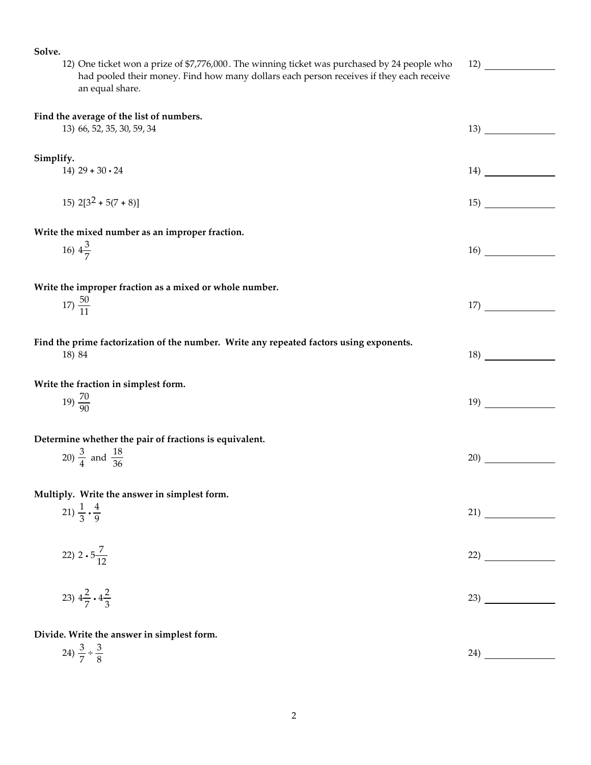**Solve.** 12) One ticket won a prize of \$7,776,000 . The winning ticket was purchased by 24 people who had pooled their money. Find how many dollars each person receives if they each receive an equal share. 12) **Find the average of the list of numbers.** 13) 66, 52, 35, 30, 59, 34 13) **Simplify.**  $14) \ 29 + 30 \cdot 24$  14)  $15)$   $2[3^2 + 5(7 + 8)]$  15) **Write the mixed number as an improper fraction.** 16)  $4\frac{3}{7}$ 7 16) **Write the improper fraction as a mixed or whole number.**  $17\frac{50}{11}$  $\frac{17}{11}$  17) **Find the prime factorization of the number. Write any repeated factors using exponents.** 18) 84 18 **Write the fraction in simplest form.** 19)  $\frac{70}{90}$ 19) **Determine whether the pair of fractions is equivalent.** 20)  $\frac{3}{4}$  and  $\frac{18}{36}$  $\frac{18}{36}$  20) **Multiply. Write the answer in simplest form.** 21)  $\frac{1}{3}$  $\frac{4}{1}$ 9 21) 22)  $2 \cdot 5 \frac{7}{12}$  $\frac{1}{12}$  (22) 23)  $4\frac{2}{7}$  $\frac{2}{7} \cdot 4\frac{2}{3}$ 23) **Divide. Write the answer in simplest form.** 24)  $\frac{3}{7} \div \frac{3}{8}$ 8 24)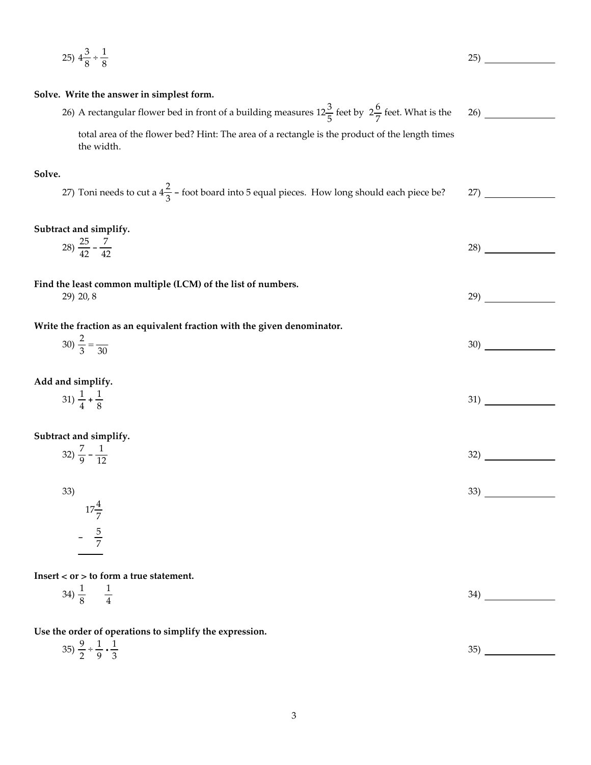25) 
$$
4\frac{3}{8} \times \frac{1}{8}
$$
  
\n26) **27 28 29 29 29 29 29 29 29 29 29 29 29 29 29 29 29 29 29 29 29 29 29 29 29 29 29 29 29 29 29 29 29 29 29 29 29 29 29 29 29 29 29 29 29 29 29 29 29 29 29 29 29 29 29 29 29 29 29 29 29 29 29 29 29 29 29 29 29 29 29 29 29 29 29 29 29 29 29 29 29 29 29 29 29 29 29 29 29 29 29 29**

9

3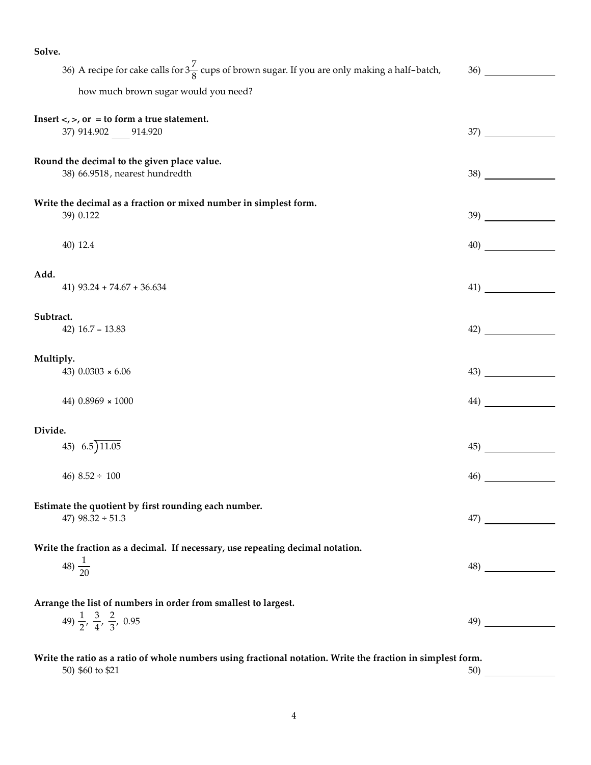**Solve.** 36) A recipe for cake calls for  $3\frac{7}{8}$  cups of brown sugar. If you are only making a half-batch, how much brown sugar would you need? 36) Insert  $\lt$ ,  $\gt$ , or  $=$  to form a true statement. 37) 914.902 914.920 37) **Round the decimal to the given place value.** 38) 66.9518, nearest hundredth 38) **Write the decimal as a fraction or mixed number in simplest form.** 39) 0.122 39)  $40)$  12.4  $40$ **Add.** 41) 93.24 + 74.67 + 36.634 41) **Subtract.** 42) 16.7 - 13.83 42) **Multiply.** 43) 0.0303 × 6.06 43) 44) 0.8969 × 1000 44) **Divide.**  $45)$   $6.5)$   $11.05$   $45)$   $45)$  $46)$  8.52 ÷ 100  $46)$ **Estimate the quotient by first rounding each number.** 47)  $98.32 \div 51.3$  47) **Write the fraction as a decimal. If necessary, use repeating decimal notation.** 48)  $\frac{1}{20}$ 48) **Arrange the list of numbers in order from smallest to largest.** 49)  $\frac{1}{2}$ ,  $\frac{3}{4}$  $rac{3}{4}$ ,  $rac{2}{3}$ 3 , 0.95 49) **Write the ratio as a ratio of whole numbers using fractional notation. Write the fraction in simplest form.**

 $50)$  \$60 to \$21  $50)$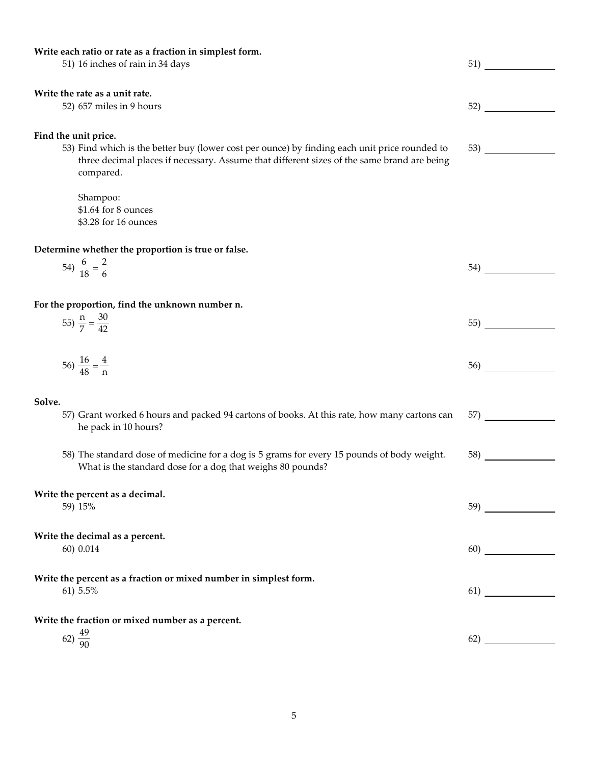| Write each ratio or rate as a fraction in simplest form.                                      |     |  |
|-----------------------------------------------------------------------------------------------|-----|--|
| 51) 16 inches of rain in 34 days                                                              | 51) |  |
|                                                                                               |     |  |
| Write the rate as a unit rate.                                                                |     |  |
| 52) 657 miles in 9 hours                                                                      | 52) |  |
|                                                                                               |     |  |
|                                                                                               |     |  |
| Find the unit price.                                                                          |     |  |
| 53) Find which is the better buy (lower cost per ounce) by finding each unit price rounded to | 53) |  |
| three decimal places if necessary. Assume that different sizes of the same brand are being    |     |  |
| compared.                                                                                     |     |  |
|                                                                                               |     |  |
| Shampoo:                                                                                      |     |  |
| \$1.64 for 8 ounces                                                                           |     |  |
| \$3.28 for 16 ounces                                                                          |     |  |
|                                                                                               |     |  |
| Determine whether the proportion is true or false.                                            |     |  |
|                                                                                               |     |  |
| 54) $\frac{6}{18} = \frac{2}{6}$                                                              | 54) |  |
|                                                                                               |     |  |
|                                                                                               |     |  |
| For the proportion, find the unknown number n.                                                |     |  |
| 55) $\frac{n}{7} = \frac{30}{42}$                                                             | 55) |  |
|                                                                                               |     |  |
|                                                                                               |     |  |
| 56) $\frac{16}{48} = \frac{4}{n}$                                                             | 56) |  |
|                                                                                               |     |  |
|                                                                                               |     |  |
| Solve.                                                                                        |     |  |
| 57) Grant worked 6 hours and packed 94 cartons of books. At this rate, how many cartons can   | 57) |  |
| he pack in 10 hours?                                                                          |     |  |
|                                                                                               |     |  |
|                                                                                               |     |  |
| 58) The standard dose of medicine for a dog is 5 grams for every 15 pounds of body weight.    | 58) |  |
| What is the standard dose for a dog that weighs 80 pounds?                                    |     |  |
|                                                                                               |     |  |
| Write the percent as a decimal.                                                               |     |  |
| 59) 15%                                                                                       |     |  |
|                                                                                               |     |  |
| Write the decimal as a percent.                                                               |     |  |
| 60) 0.014                                                                                     |     |  |
|                                                                                               |     |  |
|                                                                                               |     |  |
| Write the percent as a fraction or mixed number in simplest form.                             |     |  |
| 61) 5.5%                                                                                      | 61) |  |
|                                                                                               |     |  |
| Write the fraction or mixed number as a percent.                                              |     |  |
|                                                                                               |     |  |
| 62) $\frac{49}{90}$                                                                           | 62) |  |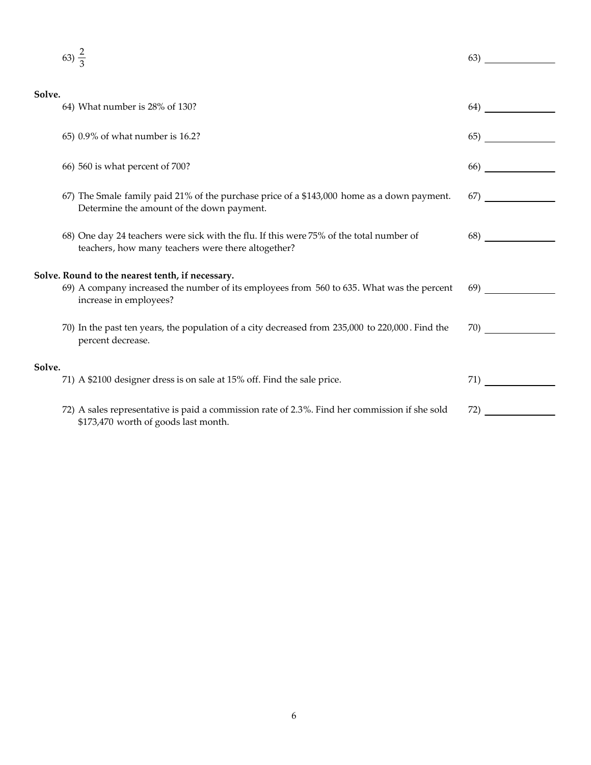|        | 63) $\frac{2}{3}$                                                                                                                                                       | 63)           |
|--------|-------------------------------------------------------------------------------------------------------------------------------------------------------------------------|---------------|
| Solve. |                                                                                                                                                                         |               |
|        | 64) What number is 28% of 130?                                                                                                                                          | 64)           |
|        | 65) 0.9% of what number is 16.2?                                                                                                                                        | 65)           |
|        | 66) 560 is what percent of 700?                                                                                                                                         | 66)           |
|        | 67) The Smale family paid 21% of the purchase price of a \$143,000 home as a down payment.<br>Determine the amount of the down payment.                                 | <sup>67</sup> |
|        | 68) One day 24 teachers were sick with the flu. If this were 75% of the total number of<br>teachers, how many teachers were there altogether?                           | 68)           |
|        | Solve. Round to the nearest tenth, if necessary.<br>69) A company increased the number of its employees from 560 to 635. What was the percent<br>increase in employees? | 69)           |
|        | 70) In the past ten years, the population of a city decreased from 235,000 to 220,000. Find the<br>percent decrease.                                                    | 70)           |
| Solve. | 71) A \$2100 designer dress is on sale at 15% off. Find the sale price.                                                                                                 | 71)           |
|        | 72) A sales representative is paid a commission rate of 2.3%. Find her commission if she sold<br>\$173,470 worth of goods last month.                                   | 72)           |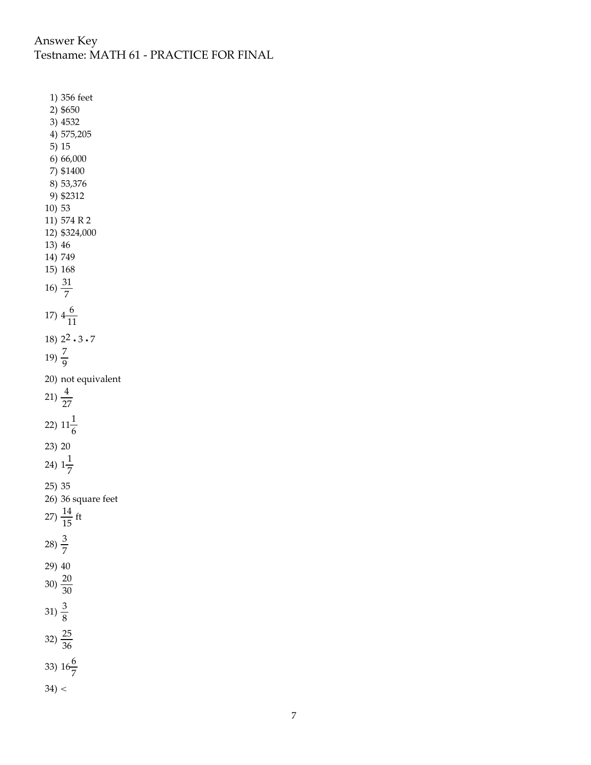## Answer Key Testname: MATH 61 - PRACTICE FOR FINAL

1) 356 feet 2) \$650 3) 4532 4) 575,205 5) 15 6) 66,000 7) \$1400 8) 53,376 9) \$2312 10) 53 11) 574 R 2 12) \$324,000 13) 46 14) 749 15) 168 16)  $\frac{31}{7}$ 17)  $4\frac{6}{11}$ 11 18)  $2^2 \cdot 3 \cdot 7$ 19)  $\frac{7}{9}$ 20) not equivalent 21)  $\frac{4}{27}$ 22)  $11\frac{1}{6}$ 23) 20 24)  $1\frac{1}{7}$ 7 25) 35 26) 36 square feet 27)  $\frac{14}{15}$  ft 28)  $\frac{3}{7}$ 29) 40 30)  $\frac{20}{30}$ 31)  $\frac{3}{8}$ 32)  $\frac{25}{36}$ 33)  $16\frac{6}{7}$  $34$ ) <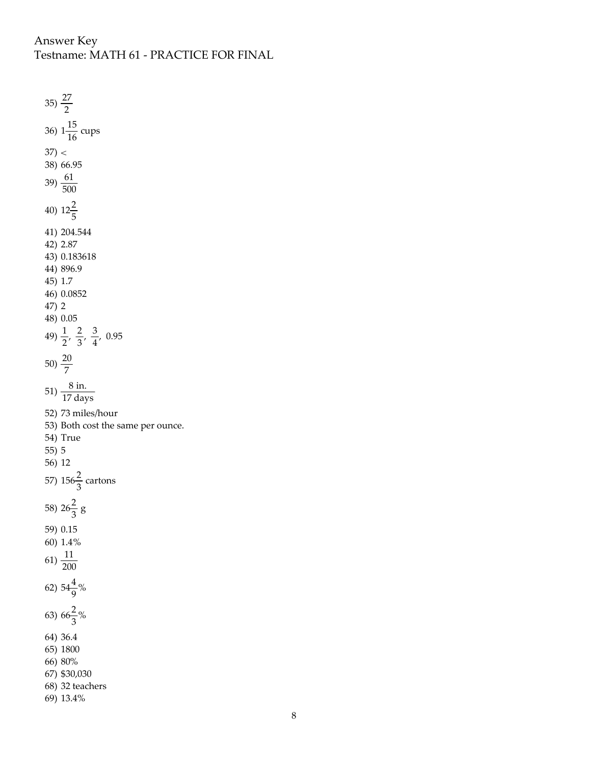## Answer Key

Testname: MATH 61 - PRACTICE FOR FINAL

35)  $\frac{27}{2}$ 36)  $1\frac{15}{16}$  $\frac{16}{16}$  cups  $37$ ) < 38) 66.95 39)  $\frac{61}{500}$ 40)  $12\frac{2}{5}$ 41) 204.544 42) 2.87 43) 0.183618 44) 896.9 45) 1.7 46) 0.0852 47) 2 48) 0.05 49)  $\frac{1}{2}$ ,  $\frac{2}{3}$  $rac{2}{3}, \frac{3}{4}$  $\frac{5}{4}$ , 0.95 50)  $\frac{20}{7}$ 51)  $\frac{8 \text{ in.}}{17 \text{ days}}$ 52) 73 miles/hour 53) Both cost the same per ounce. 54) True 55) 5 56) 12 57)  $156\frac{2}{3}$  cartons 58)  $26\frac{2}{3}$  g 59) 0.15 60) 1.4% 61)  $\frac{11}{200}$ 62)  $54\frac{4}{9}\%$ 63)  $66\frac{2}{3}\%$ 64) 36.4 65) 1800 66) 80% 67) \$30,030 68) 32 teachers 69) 13.4%